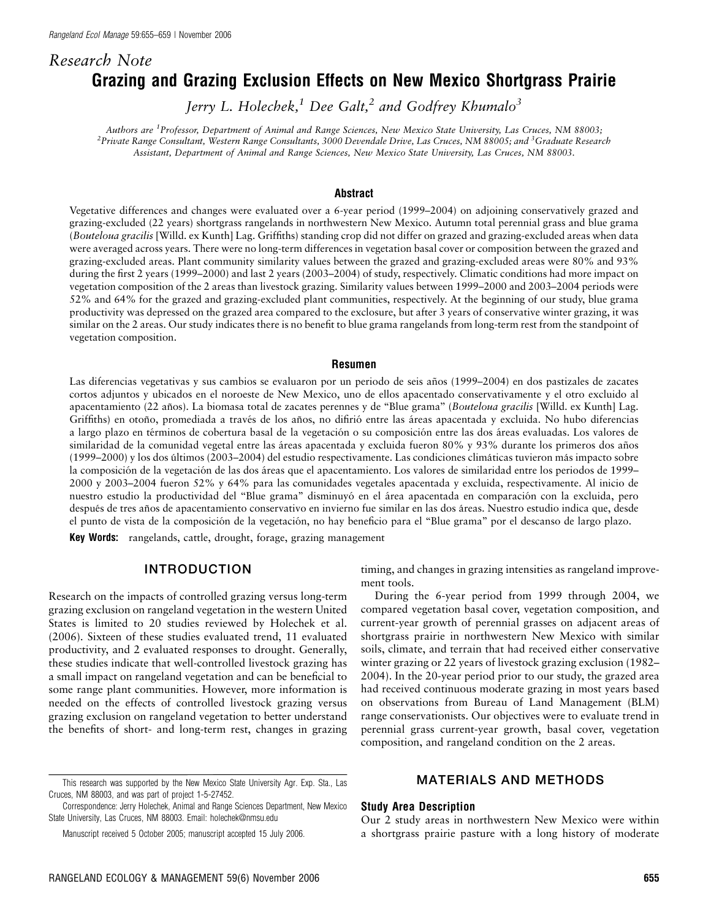# Research Note Grazing and Grazing Exclusion Effects on New Mexico Shortgrass Prairie

Jerry L. Holechek,<sup>1</sup> Dee Galt,<sup>2</sup> and Godfrey Khumalo<sup>3</sup>

Authors are <sup>1</sup>Professor, Department of Animal and Range Sciences, New Mexico State University, Las Cruces, NM 88003; <sup>2</sup>Private Range Consultant, Western Range Consultants, 3000 Devendale Drive, Las Cruces, NM 88005; and <sup>3</sup>Graduate Research Assistant, Department of Animal and Range Sciences, New Mexico State University, Las Cruces, NM 88003.

#### Abstract

Vegetative differences and changes were evaluated over a 6-year period (1999–2004) on adjoining conservatively grazed and grazing-excluded (22 years) shortgrass rangelands in northwestern New Mexico. Autumn total perennial grass and blue grama (Bouteloua gracilis [Willd. ex Kunth] Lag. Griffiths) standing crop did not differ on grazed and grazing-excluded areas when data were averaged across years. There were no long-term differences in vegetation basal cover or composition between the grazed and grazing-excluded areas. Plant community similarity values between the grazed and grazing-excluded areas were 80% and 93% during the first 2 years (1999–2000) and last 2 years (2003–2004) of study, respectively. Climatic conditions had more impact on vegetation composition of the 2 areas than livestock grazing. Similarity values between 1999–2000 and 2003–2004 periods were 52% and 64% for the grazed and grazing-excluded plant communities, respectively. At the beginning of our study, blue grama productivity was depressed on the grazed area compared to the exclosure, but after 3 years of conservative winter grazing, it was similar on the 2 areas. Our study indicates there is no benefit to blue grama rangelands from long-term rest from the standpoint of vegetation composition.

#### Resumen

Las diferencias vegetativas y sus cambios se evaluaron por un periodo de seis años (1999–2004) en dos pastizales de zacates cortos adjuntos y ubicados en el noroeste de New Mexico, uno de ellos apacentado conservativamente y el otro excluido al apacentamiento (22 años). La biomasa total de zacates perennes y de "Blue grama" (Bouteloua gracilis [Willd. ex Kunth] Lag. Griffiths) en otoño, promediada a través de los años, no difirió entre las áreas apacentada y excluida. No hubo diferencias a largo plazo en términos de cobertura basal de la vegetación o su composición entre las dos áreas evaluadas. Los valores de similaridad de la comunidad vegetal entre las áreas apacentada y excluida fueron 80% y 93% durante los primeros dos años (1999–2000) y los dos últimos (2003–2004) del estudio respectivamente. Las condiciones climáticas tuvieron más impacto sobre la composición de la vegetación de las dos áreas que el apacentamiento. Los valores de similaridad entre los periodos de 1999– 2000 y 2003–2004 fueron 52% y 64% para las comunidades vegetales apacentada y excluida, respectivamente. Al inicio de nuestro estudio la productividad del "Blue grama" disminuyó en el área apacentada en comparación con la excluida, pero después de tres años de apacentamiento conservativo en invierno fue similar en las dos áreas. Nuestro estudio indica que, desde el punto de vista de la composición de la vegetación, no hay beneficio para el "Blue grama" por el descanso de largo plazo.

Key Words: rangelands, cattle, drought, forage, grazing management

## INTRODUCTION

Research on the impacts of controlled grazing versus long-term grazing exclusion on rangeland vegetation in the western United States is limited to 20 studies reviewed by Holechek et al. (2006). Sixteen of these studies evaluated trend, 11 evaluated productivity, and 2 evaluated responses to drought. Generally, these studies indicate that well-controlled livestock grazing has a small impact on rangeland vegetation and can be beneficial to some range plant communities. However, more information is needed on the effects of controlled livestock grazing versus grazing exclusion on rangeland vegetation to better understand the benefits of short- and long-term rest, changes in grazing timing, and changes in grazing intensities as rangeland improvement tools.

During the 6-year period from 1999 through 2004, we compared vegetation basal cover, vegetation composition, and current-year growth of perennial grasses on adjacent areas of shortgrass prairie in northwestern New Mexico with similar soils, climate, and terrain that had received either conservative winter grazing or 22 years of livestock grazing exclusion (1982– 2004). In the 20-year period prior to our study, the grazed area had received continuous moderate grazing in most years based on observations from Bureau of Land Management (BLM) range conservationists. Our objectives were to evaluate trend in perennial grass current-year growth, basal cover, vegetation composition, and rangeland condition on the 2 areas.

# MATERIALS AND METHODS

#### Study Area Description

Our 2 study areas in northwestern New Mexico were within a shortgrass prairie pasture with a long history of moderate

This research was supported by the New Mexico State University Agr. Exp. Sta., Las Cruces, NM 88003, and was part of project 1-5-27452.

Correspondence: Jerry Holechek, Animal and Range Sciences Department, New Mexico State University, Las Cruces, NM 88003. Email: holechek@nmsu.edu

Manuscript received 5 October 2005; manuscript accepted 15 July 2006.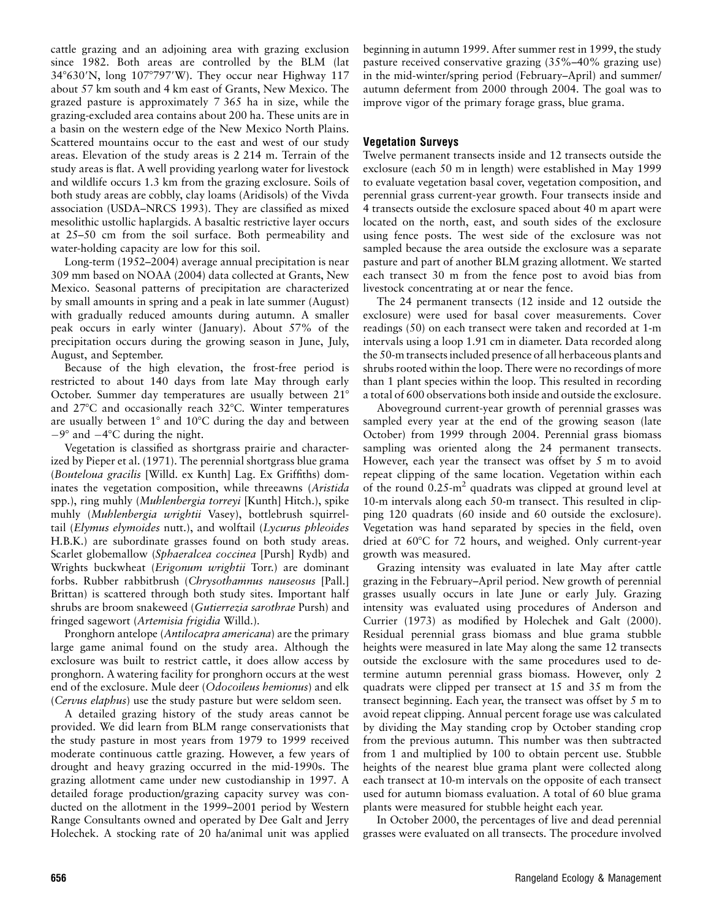cattle grazing and an adjoining area with grazing exclusion since 1982. Both areas are controlled by the BLM (lat  $34^{\circ}630'$ N, long  $107^{\circ}797'$ W). They occur near Highway 117 about 57 km south and 4 km east of Grants, New Mexico. The grazed pasture is approximately 7 365 ha in size, while the grazing-excluded area contains about 200 ha. These units are in a basin on the western edge of the New Mexico North Plains. Scattered mountains occur to the east and west of our study areas. Elevation of the study areas is 2 214 m. Terrain of the study areas is flat. A well providing yearlong water for livestock and wildlife occurs 1.3 km from the grazing exclosure. Soils of both study areas are cobbly, clay loams (Aridisols) of the Vivda association (USDA–NRCS 1993). They are classified as mixed mesolithic ustollic haplargids. A basaltic restrictive layer occurs at 25–50 cm from the soil surface. Both permeability and water-holding capacity are low for this soil.

Long-term (1952–2004) average annual precipitation is near 309 mm based on NOAA (2004) data collected at Grants, New Mexico. Seasonal patterns of precipitation are characterized by small amounts in spring and a peak in late summer (August) with gradually reduced amounts during autumn. A smaller peak occurs in early winter (January). About 57% of the precipitation occurs during the growing season in June, July, August, and September.

Because of the high elevation, the frost-free period is restricted to about 140 days from late May through early October. Summer day temperatures are usually between 21° and  $27^{\circ}$ C and occasionally reach  $32^{\circ}$ C. Winter temperatures are usually between  $1^{\circ}$  and  $10^{\circ}$ C during the day and between  $-9^{\circ}$  and  $-4^{\circ}$ C during the night.

Vegetation is classified as shortgrass prairie and characterized by Pieper et al. (1971). The perennial shortgrass blue grama (Bouteloua gracilis [Willd. ex Kunth] Lag. Ex Griffiths) dominates the vegetation composition, while threeawns (Aristida spp.), ring muhly (Muhlenbergia torreyi [Kunth] Hitch.), spike muhly (Muhlenbergia wrightii Vasey), bottlebrush squirreltail (Elymus elymoides nutt.), and wolftail (Lycurus phleoides H.B.K.) are subordinate grasses found on both study areas. Scarlet globemallow (Sphaeralcea coccinea [Pursh] Rydb) and Wrights buckwheat (Erigonum wrightii Torr.) are dominant forbs. Rubber rabbitbrush (Chrysothamnus nauseosus [Pall.] Brittan) is scattered through both study sites. Important half shrubs are broom snakeweed (Gutierrezia sarothrae Pursh) and fringed sagewort (Artemisia frigidia Willd.).

Pronghorn antelope (Antilocapra americana) are the primary large game animal found on the study area. Although the exclosure was built to restrict cattle, it does allow access by pronghorn. A watering facility for pronghorn occurs at the west end of the exclosure. Mule deer (Odocoileus hemionus) and elk (Cervus elaphus) use the study pasture but were seldom seen.

A detailed grazing history of the study areas cannot be provided. We did learn from BLM range conservationists that the study pasture in most years from 1979 to 1999 received moderate continuous cattle grazing. However, a few years of drought and heavy grazing occurred in the mid-1990s. The grazing allotment came under new custodianship in 1997. A detailed forage production/grazing capacity survey was conducted on the allotment in the 1999–2001 period by Western Range Consultants owned and operated by Dee Galt and Jerry Holechek. A stocking rate of 20 ha/animal unit was applied beginning in autumn 1999. After summer rest in 1999, the study pasture received conservative grazing (35%–40% grazing use) in the mid-winter/spring period (February–April) and summer/ autumn deferment from 2000 through 2004. The goal was to improve vigor of the primary forage grass, blue grama.

## Vegetation Surveys

Twelve permanent transects inside and 12 transects outside the exclosure (each 50 m in length) were established in May 1999 to evaluate vegetation basal cover, vegetation composition, and perennial grass current-year growth. Four transects inside and 4 transects outside the exclosure spaced about 40 m apart were located on the north, east, and south sides of the exclosure using fence posts. The west side of the exclosure was not sampled because the area outside the exclosure was a separate pasture and part of another BLM grazing allotment. We started each transect 30 m from the fence post to avoid bias from livestock concentrating at or near the fence.

The 24 permanent transects (12 inside and 12 outside the exclosure) were used for basal cover measurements. Cover readings (50) on each transect were taken and recorded at 1-m intervals using a loop 1.91 cm in diameter. Data recorded along the 50-m transects included presence of all herbaceous plants and shrubs rooted within the loop. There were no recordings of more than 1 plant species within the loop. This resulted in recording a total of 600 observations both inside and outside the exclosure.

Aboveground current-year growth of perennial grasses was sampled every year at the end of the growing season (late October) from 1999 through 2004. Perennial grass biomass sampling was oriented along the 24 permanent transects. However, each year the transect was offset by 5 m to avoid repeat clipping of the same location. Vegetation within each of the round  $0.25 \text{ m}^2$  quadrats was clipped at ground level at 10-m intervals along each 50-m transect. This resulted in clipping 120 quadrats (60 inside and 60 outside the exclosure). Vegetation was hand separated by species in the field, oven dried at 60°C for 72 hours, and weighed. Only current-year growth was measured.

Grazing intensity was evaluated in late May after cattle grazing in the February–April period. New growth of perennial grasses usually occurs in late June or early July. Grazing intensity was evaluated using procedures of Anderson and Currier (1973) as modified by Holechek and Galt (2000). Residual perennial grass biomass and blue grama stubble heights were measured in late May along the same 12 transects outside the exclosure with the same procedures used to determine autumn perennial grass biomass. However, only 2 quadrats were clipped per transect at 15 and 35 m from the transect beginning. Each year, the transect was offset by 5 m to avoid repeat clipping. Annual percent forage use was calculated by dividing the May standing crop by October standing crop from the previous autumn. This number was then subtracted from 1 and multiplied by 100 to obtain percent use. Stubble heights of the nearest blue grama plant were collected along each transect at 10-m intervals on the opposite of each transect used for autumn biomass evaluation. A total of 60 blue grama plants were measured for stubble height each year.

In October 2000, the percentages of live and dead perennial grasses were evaluated on all transects. The procedure involved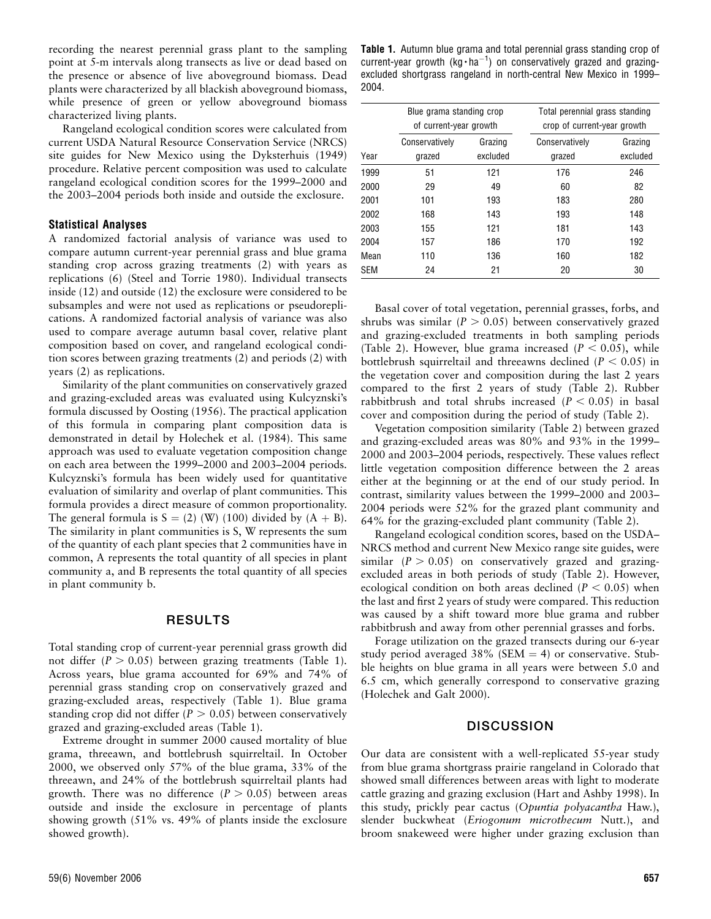recording the nearest perennial grass plant to the sampling point at 5-m intervals along transects as live or dead based on the presence or absence of live aboveground biomass. Dead plants were characterized by all blackish aboveground biomass, while presence of green or yellow aboveground biomass characterized living plants.

Rangeland ecological condition scores were calculated from current USDA Natural Resource Conservation Service (NRCS) site guides for New Mexico using the Dyksterhuis (1949) procedure. Relative percent composition was used to calculate rangeland ecological condition scores for the 1999–2000 and the 2003–2004 periods both inside and outside the exclosure.

#### Statistical Analyses

A randomized factorial analysis of variance was used to compare autumn current-year perennial grass and blue grama standing crop across grazing treatments (2) with years as replications (6) (Steel and Torrie 1980). Individual transects inside (12) and outside (12) the exclosure were considered to be subsamples and were not used as replications or pseudoreplications. A randomized factorial analysis of variance was also used to compare average autumn basal cover, relative plant composition based on cover, and rangeland ecological condition scores between grazing treatments (2) and periods (2) with years (2) as replications.

Similarity of the plant communities on conservatively grazed and grazing-excluded areas was evaluated using Kulcyznski's formula discussed by Oosting (1956). The practical application of this formula in comparing plant composition data is demonstrated in detail by Holechek et al. (1984). This same approach was used to evaluate vegetation composition change on each area between the 1999–2000 and 2003–2004 periods. Kulcyznski's formula has been widely used for quantitative evaluation of similarity and overlap of plant communities. This formula provides a direct measure of common proportionality. The general formula is  $S = (2)$  (W) (100) divided by  $(A + B)$ . The similarity in plant communities is S, W represents the sum of the quantity of each plant species that 2 communities have in common, A represents the total quantity of all species in plant community a, and B represents the total quantity of all species in plant community b.

### RESULTS

Total standing crop of current-year perennial grass growth did not differ  $(P > 0.05)$  between grazing treatments (Table 1). Across years, blue grama accounted for 69% and 74% of perennial grass standing crop on conservatively grazed and grazing-excluded areas, respectively (Table 1). Blue grama standing crop did not differ ( $P > 0.05$ ) between conservatively grazed and grazing-excluded areas (Table 1).

Extreme drought in summer 2000 caused mortality of blue grama, threeawn, and bottlebrush squirreltail. In October 2000, we observed only 57% of the blue grama, 33% of the threeawn, and 24% of the bottlebrush squirreltail plants had growth. There was no difference  $(P > 0.05)$  between areas outside and inside the exclosure in percentage of plants showing growth (51% vs. 49% of plants inside the exclosure showed growth).

|      | Blue grama standing crop<br>of current-year growth |                     | Total perennial grass standing<br>crop of current-year growth |                     |  |
|------|----------------------------------------------------|---------------------|---------------------------------------------------------------|---------------------|--|
| Year | Conservatively<br>grazed                           | Grazing<br>excluded | Conservatively<br>grazed                                      | Grazing<br>excluded |  |
| 1999 | 51                                                 | 121                 | 176                                                           | 246                 |  |
| 2000 | 29                                                 | 49                  | 60                                                            | 82                  |  |
| 2001 | 101                                                | 193                 | 183                                                           | 280                 |  |
| 2002 | 168                                                | 143                 | 193                                                           | 148                 |  |
| 2003 | 155                                                | 121                 | 181                                                           | 143                 |  |
| 2004 | 157                                                | 186                 | 170                                                           | 192                 |  |
| Mean | 110                                                | 136                 | 160                                                           | 182                 |  |
| SEM  | 24                                                 | 21                  | 20                                                            | 30                  |  |

Basal cover of total vegetation, perennial grasses, forbs, and shrubs was similar ( $P > 0.05$ ) between conservatively grazed and grazing-excluded treatments in both sampling periods (Table 2). However, blue grama increased ( $P < 0.05$ ), while bottlebrush squirreltail and threeawns declined ( $P < 0.05$ ) in the vegetation cover and composition during the last 2 years compared to the first 2 years of study (Table 2). Rubber rabbitbrush and total shrubs increased ( $P < 0.05$ ) in basal cover and composition during the period of study (Table 2).

Vegetation composition similarity (Table 2) between grazed and grazing-excluded areas was 80% and 93% in the 1999– 2000 and 2003–2004 periods, respectively. These values reflect little vegetation composition difference between the 2 areas either at the beginning or at the end of our study period. In contrast, similarity values between the 1999–2000 and 2003– 2004 periods were 52% for the grazed plant community and 64% for the grazing-excluded plant community (Table 2).

Rangeland ecological condition scores, based on the USDA– NRCS method and current New Mexico range site guides, were similar ( $P > 0.05$ ) on conservatively grazed and grazingexcluded areas in both periods of study (Table 2). However, ecological condition on both areas declined ( $P < 0.05$ ) when the last and first 2 years of study were compared. This reduction was caused by a shift toward more blue grama and rubber rabbitbrush and away from other perennial grasses and forbs.

Forage utilization on the grazed transects during our 6-year study period averaged 38% (SEM  $=$  4) or conservative. Stubble heights on blue grama in all years were between 5.0 and 6.5 cm, which generally correspond to conservative grazing (Holechek and Galt 2000).

### **DISCUSSION**

Our data are consistent with a well-replicated 55-year study from blue grama shortgrass prairie rangeland in Colorado that showed small differences between areas with light to moderate cattle grazing and grazing exclusion (Hart and Ashby 1998). In this study, prickly pear cactus (Opuntia polyacantha Haw.), slender buckwheat (Eriogonum microthecum Nutt.), and broom snakeweed were higher under grazing exclusion than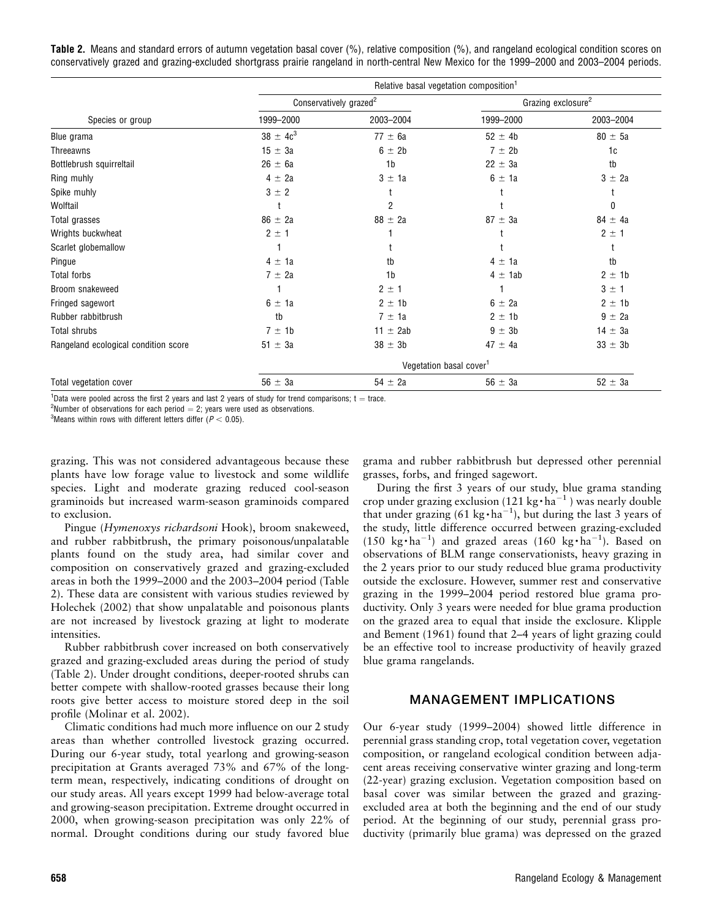Table 2. Means and standard errors of autumn vegetation basal cover (%), relative composition (%), and rangeland ecological condition scores on conservatively grazed and grazing-excluded shortgrass prairie rangeland in north-central New Mexico for the 1999–2000 and 2003–2004 periods.

|                                      | Relative basal vegetation composition <sup>1</sup> |                                     |                                |             |  |  |
|--------------------------------------|----------------------------------------------------|-------------------------------------|--------------------------------|-------------|--|--|
|                                      | Conservatively grazed <sup>2</sup>                 |                                     | Grazing exclosure <sup>2</sup> |             |  |  |
| Species or group                     | 1999-2000                                          | 2003-2004                           | 1999-2000                      | 2003-2004   |  |  |
| Blue grama                           | $38 \pm 4c^3$                                      | $77 \pm 6a$                         | $52 \pm 4b$                    | $80 \pm 5a$ |  |  |
| Threeawns                            | $15 \pm 3a$                                        | 6 ± 2b                              | 7 ± 2b                         | 1c          |  |  |
| Bottlebrush squirreltail             | $26 \pm 6a$                                        | 1 <sub>b</sub>                      | $22 \pm 3a$                    | tb          |  |  |
| Ring muhly                           | $4 \pm 2a$                                         | $3 \pm 1a$                          | $6 \pm 1a$                     | $3 \pm 2a$  |  |  |
| Spike muhly                          | $3 \pm 2$                                          |                                     |                                |             |  |  |
| Wolftail                             |                                                    | 2                                   |                                | 0           |  |  |
| Total grasses                        | $86 \pm 2a$                                        | $88 \pm 2a$                         | $87 \pm 3a$                    | $84 \pm 4a$ |  |  |
| Wrights buckwheat                    | $2 \pm 1$                                          |                                     |                                | $2 \pm 1$   |  |  |
| Scarlet globemallow                  |                                                    |                                     |                                |             |  |  |
| Pingue                               | $4 \pm 1a$                                         | tb                                  | $4 \pm 1a$                     | tb          |  |  |
| Total forbs                          | $7 \pm 2a$                                         | 1 <sub>b</sub>                      | $4 \pm 1$ ab                   | $2 \pm 1b$  |  |  |
| Broom snakeweed                      |                                                    | $2 \pm 1$                           |                                | 3 ± 1       |  |  |
| Fringed sagewort                     | $6 \pm 1a$                                         | $2 \pm 1b$                          | $6 \pm 2a$                     | $2 \pm 1b$  |  |  |
| Rubber rabbitbrush                   | tb                                                 | $7 \pm 1a$                          | $2 \pm 1b$                     | $9 \pm 2a$  |  |  |
| Total shrubs                         | $7 \pm 1b$                                         | $11 \pm 2ab$                        | $9 \pm 3b$                     | $14 \pm 3a$ |  |  |
| Rangeland ecological condition score | $51 \pm 3a$                                        | $38 \pm 3b$                         | $47 \pm 4a$                    | $33 \pm 3b$ |  |  |
|                                      |                                                    | Vegetation basal cover <sup>1</sup> |                                |             |  |  |
| Total vegetation cover               | $56 \pm 3a$                                        | $54 \pm 2a$                         | $56 \pm 3a$                    | $52 \pm 3a$ |  |  |

<sup>1</sup>Data were pooled across the first 2 years and last 2 years of study for trend comparisons;  $t = \text{trace}$ .

<sup>2</sup>Number of observations for each period  $= 2$ ; years were used as observations.

 ${}^{3}$ Means within rows with different letters differ ( $P < 0.05$ ).

grazing. This was not considered advantageous because these plants have low forage value to livestock and some wildlife species. Light and moderate grazing reduced cool-season graminoids but increased warm-season graminoids compared to exclusion.

Pingue (Hymenoxys richardsoni Hook), broom snakeweed, and rubber rabbitbrush, the primary poisonous/unpalatable plants found on the study area, had similar cover and composition on conservatively grazed and grazing-excluded areas in both the 1999–2000 and the 2003–2004 period (Table 2). These data are consistent with various studies reviewed by Holechek (2002) that show unpalatable and poisonous plants are not increased by livestock grazing at light to moderate intensities.

Rubber rabbitbrush cover increased on both conservatively grazed and grazing-excluded areas during the period of study (Table 2). Under drought conditions, deeper-rooted shrubs can better compete with shallow-rooted grasses because their long roots give better access to moisture stored deep in the soil profile (Molinar et al. 2002).

Climatic conditions had much more influence on our 2 study areas than whether controlled livestock grazing occurred. During our 6-year study, total yearlong and growing-season precipitation at Grants averaged 73% and 67% of the longterm mean, respectively, indicating conditions of drought on our study areas. All years except 1999 had below-average total and growing-season precipitation. Extreme drought occurred in 2000, when growing-season precipitation was only 22% of normal. Drought conditions during our study favored blue

grama and rubber rabbitbrush but depressed other perennial grasses, forbs, and fringed sagewort.

During the first 3 years of our study, blue grama standing crop under grazing exclusion (121 kg·ha<sup>-1</sup>) was nearly double that under grazing (61 kg $\cdot$  ha<sup>-1</sup>), but during the last 3 years of the study, little difference occurred between grazing-excluded (150 kg·ha<sup>-1</sup>) and grazed areas (160 kg·ha<sup>-1</sup>). Based on observations of BLM range conservationists, heavy grazing in the 2 years prior to our study reduced blue grama productivity outside the exclosure. However, summer rest and conservative grazing in the 1999–2004 period restored blue grama productivity. Only 3 years were needed for blue grama production on the grazed area to equal that inside the exclosure. Klipple and Bement (1961) found that 2–4 years of light grazing could be an effective tool to increase productivity of heavily grazed blue grama rangelands.

# MANAGEMENT IMPLICATIONS

Our 6-year study (1999–2004) showed little difference in perennial grass standing crop, total vegetation cover, vegetation composition, or rangeland ecological condition between adjacent areas receiving conservative winter grazing and long-term (22-year) grazing exclusion. Vegetation composition based on basal cover was similar between the grazed and grazingexcluded area at both the beginning and the end of our study period. At the beginning of our study, perennial grass productivity (primarily blue grama) was depressed on the grazed